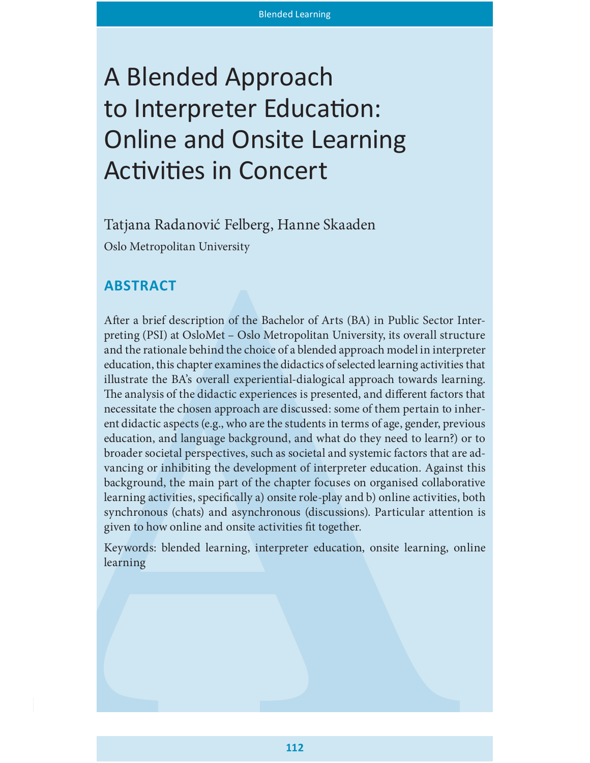# A Blended Approach to Interpreter Education: Online and Onsite Learning Activities in Concert

Tatjana Radanović Felberg, Hanne Skaaden Oslo Metropolitan University

# **ABSTRACT**

After a brief description of the Bachelor of Arts (BA) in Public Sector Interpreting (PSI) at OsloMet – Oslo Metropolitan University, its overall structure and the rationale behind the choice of a blended approach model in interpreter education, this chapter examines the didactics of selected learning activities that illustrate the BA's overall experiential-dialogical approach towards learning. The analysis of the didactic experiences is presented, and different factors that necessitate the chosen approach are discussed: some of them pertain to inherent didactic aspects (e.g., who are the students in terms of age, gender, previous education, and language background, and what do they need to learn?) or to broader societal perspectives, such as societal and systemic factors that are advancing or inhibiting the development of interpreter education. Against this background, the main part of the chapter focuses on organised collaborative learning activities, specifically a) onsite role-play and b) online activities, both synchronous (chats) and asynchronous (discussions). Particular attention is given to how online and onsite activities fit together.

Keywords: blended learning, interpreter education, onsite learning, online learning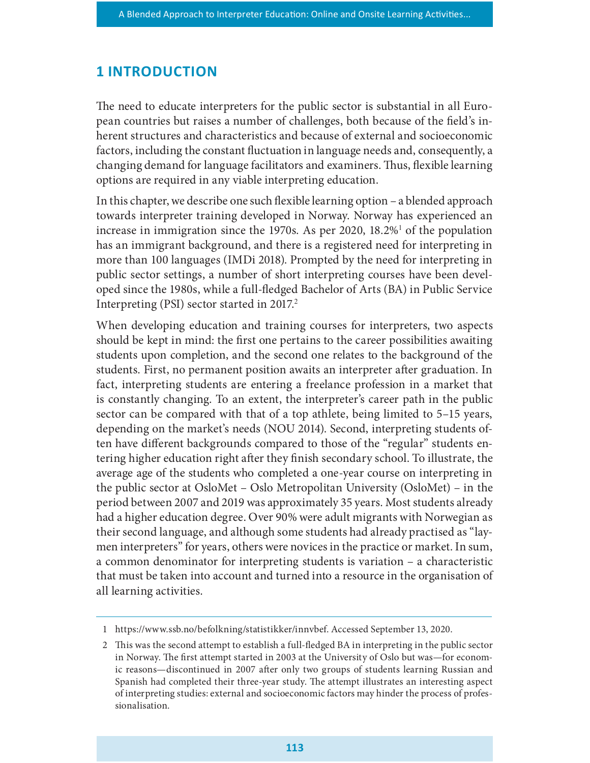#### **1 INTRODUCTION**

The need to educate interpreters for the public sector is substantial in all European countries but raises a number of challenges, both because of the field's inherent structures and characteristics and because of external and socioeconomic factors, including the constant fluctuation in language needs and, consequently, a changing demand for language facilitators and examiners. Thus, flexible learning options are required in any viable interpreting education.

In this chapter, we describe one such flexible learning option  $-$  a blended approach towards interpreter training developed in Norway. Norway has experienced an increase in immigration since the 1970s. As per 2020,  $18.2\%$  of the population has an immigrant background, and there is a registered need for interpreting in more than 100 languages (IMDi 2018). Prompted by the need for interpreting in public sector settings, a number of short interpreting courses have been developed since the 1980s, while a full-fledged Bachelor of Arts (BA) in Public Service Interpreting (PSI) sector started in 2017.

When developing education and training courses for interpreters, two aspects should be kept in mind: the first one pertains to the career possibilities awaiting students upon completion, and the second one relates to the background of the students. First, no permanent position awaits an interpreter after graduation. In fact, interpreting students are entering a freelance profession in a market that is constantly changing. To an extent, the interpreter's career path in the public sector can be compared with that of a top athlete, being limited to 5–15 years, depending on the market's needs (NOU 2014). Second, interpreting students often have different backgrounds compared to those of the "regular" students entering higher education right after they finish secondary school. To illustrate, the average age of the students who completed a one-year course on interpreting in the public sector at OsloMet – Oslo Metropolitan University (OsloMet) – in the period between 2007 and 2019 was approximately 35 years. Most students already had a higher education degree. Over 90% were adult migrants with Norwegian as their second language, and although some students had already practised as "laymen interpreters" for years, others were novices in the practice or market. In sum, a common denominator for interpreting students is variation – a characteristic that must be taken into account and turned into a resource in the organisation of all learning activities.

<sup>1</sup> https://www.ssb.no/befolkning/statistikker/innvbef. Accessed September 13, 2020.

<sup>2</sup> This was the second attempt to establish a full-fledged BA in interpreting in the public sector in Norway. The first attempt started in 2003 at the University of Oslo but was—for economic reasons—discontinued in 2007 after only two groups of students learning Russian and Spanish had completed their three-year study. The attempt illustrates an interesting aspect of interpreting studies: external and socioeconomic factors may hinder the process of professionalisation.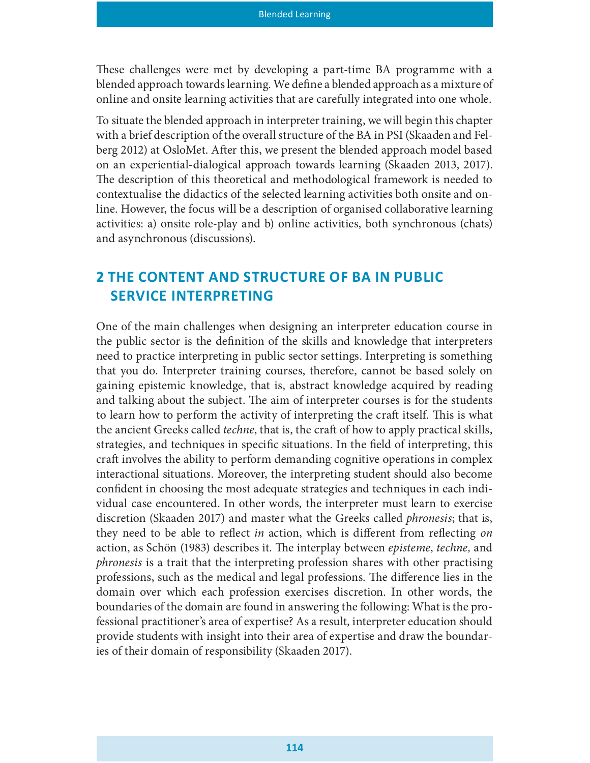These challenges were met by developing a part-time BA programme with a blended approach towards learning. We define a blended approach as a mixture of online and onsite learning activities that are carefully integrated into one whole.

To situate the blended approach in interpreter training, we will begin this chapter with a brief description of the overall structure of the BA in PSI (Skaaden and Felberg 2012) at OsloMet. After this, we present the blended approach model based on an experiential-dialogical approach towards learning (Skaaden 2013, 2017). The description of this theoretical and methodological framework is needed to contextualise the didactics of the selected learning activities both onsite and online. However, the focus will be a description of organised collaborative learning activities: a) onsite role-play and b) online activities, both synchronous (chats) and asynchronous (discussions).

# 2 THE CONTENT AND STRUCTURE OF BA IN PUBLIC SERVICE INTERPRETING

One of the main challenges when designing an interpreter education course in the public sector is the definition of the skills and knowledge that interpreters need to practice interpreting in public sector settings. Interpreting is something that you do. Interpreter training courses, therefore, cannot be based solely on gaining epistemic knowledge, that is, abstract knowledge acquired by reading and talking about the subject. The aim of interpreter courses is for the students to learn how to perform the activity of interpreting the craft itself. This is what the ancient Greeks called *techne*, that is, the craft of how to apply practical skills, strategies, and techniques in specific situations. In the field of interpreting, this craft involves the ability to perform demanding cognitive operations in complex interactional situations. Moreover, the interpreting student should also become confident in choosing the most adequate strategies and techniques in each individual case encountered. In other words, the interpreter must learn to exercise discretion (Skaaden 2017) and master what the Greeks called phronesis; that is, they need to be able to reflect *in* action, which is different from reflecting on action, as Schön (1983) describes it. The interplay between *episteme*, techne, and phronesis is a trait that the interpreting profession shares with other practising professions, such as the medical and legal professions. The difference lies in the domain over which each profession exercises discretion. In other words, the boundaries of the domain are found in answering the following: What is the professional practitioner's area of expertise? As a result, interpreter education should provide students with insight into their area of expertise and draw the boundaries of their domain of responsibility (Skaaden 2017).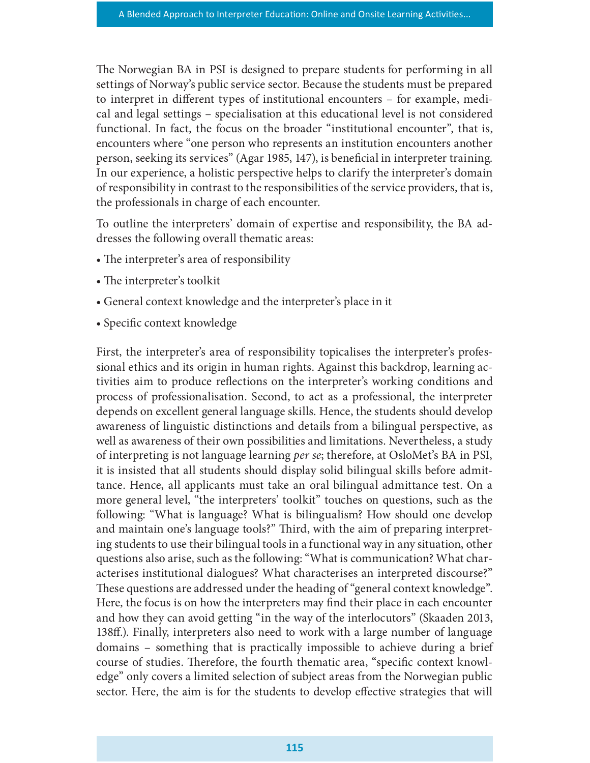The Norwegian BA in PSI is designed to prepare students for performing in all settings of Norway's public service sector. Because the students must be prepared to interpret in different types of institutional encounters – for example, medical and legal settings – specialisation at this educational level is not considered functional. In fact, the focus on the broader "institutional encounter", that is, encounters where "one person who represents an institution encounters another person, seeking its services" (Agar 1985, 147), is beneficial in interpreter training. In our experience, a holistic perspective helps to clarify the interpreter's domain of responsibility in contrast to the responsibilities of the service providers, that is, the professionals in charge of each encounter.

To outline the interpreters' domain of expertise and responsibility, the BA addresses the following overall thematic areas:

- The interpreter's area of responsibility
- The interpreter's toolkit
- General context knowledge and the interpreter's place in it
- Specific context knowledge

First, the interpreter's area of responsibility topicalises the interpreter's professional ethics and its origin in human rights. Against this backdrop, learning activities aim to produce reflections on the interpreter's working conditions and process of professionalisation. Second, to act as a professional, the interpreter depends on excellent general language skills. Hence, the students should develop awareness of linguistic distinctions and details from a bilingual perspective, as well as awareness of their own possibilities and limitations. Nevertheless, a study of interpreting is not language learning per se; therefore, at OsloMet's BA in PSI, it is insisted that all students should display solid bilingual skills before admittance. Hence, all applicants must take an oral bilingual admittance test. On a more general level, "the interpreters' toolkit" touches on questions, such as the following: "What is language? What is bilingualism? How should one develop and maintain one's language tools?" Third, with the aim of preparing interpreting students to use their bilingual tools in a functional way in any situation, other questions also arise, such as the following: "What is communication? What characterises institutional dialogues? What characterises an interpreted discourse?" These questions are addressed under the heading of "general context knowledge". Here, the focus is on how the interpreters may find their place in each encounter and how they can avoid getting "in the way of the interlocutors" (Skaaden 2013, 138ff.). Finally, interpreters also need to work with a large number of language domains – something that is practically impossible to achieve during a brief course of studies. Therefore, the fourth thematic area, "specific context knowledge" only covers a limited selection of subject areas from the Norwegian public sector. Here, the aim is for the students to develop effective strategies that will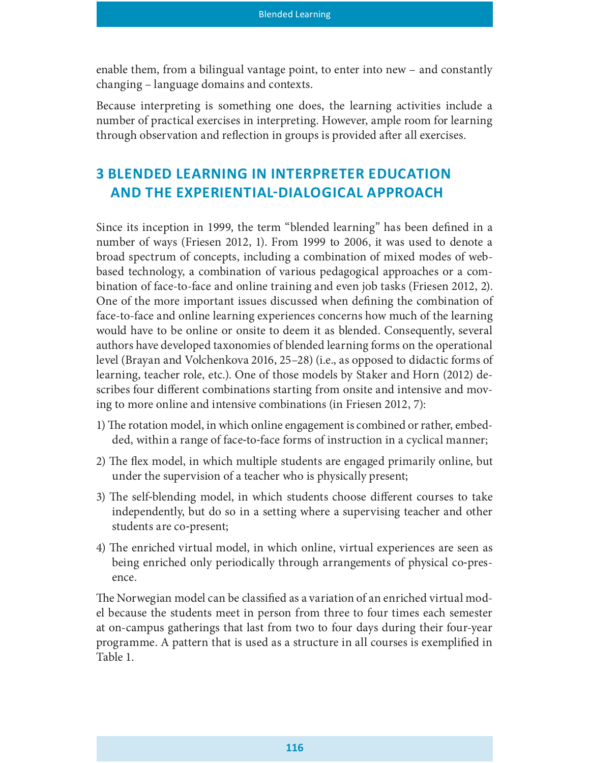enable them, from a bilingual vantage point, to enter into new – and constantly changing – language domains and contexts.

Because interpreting is something one does, the learning activities include a number of practical exercises in interpreting. However, ample room for learning through observation and reflection in groups is provided after all exercises.

# 3 BLENDED LEARNING IN INTERPRETER EDUCATION AND THE EXPERIENTIAL-DIALOGICAL APPROACH

Since its inception in 1999, the term "blended learning" has been defined in a number of ways (Friesen 2012, 1). From 1999 to 2006, it was used to denote a broad spectrum of concepts, including a combination of mixed modes of webbased technology, a combination of various pedagogical approaches or a combination of face-to-face and online training and even job tasks (Friesen 2012, 2). One of the more important issues discussed when defining the combination of face-to-face and online learning experiences concerns how much of the learning would have to be online or onsite to deem it as blended. Consequently, several authors have developed taxonomies of blended learning forms on the operational level (Brayan and Volchenkova 2016, 25–28) (i.e., as opposed to didactic forms of learning, teacher role, etc.). One of those models by Staker and Horn (2012) describes four different combinations starting from onsite and intensive and moving to more online and intensive combinations (in Friesen 2012, 7):

- 1) The rotation model, in which online engagement is combined or rather, embedded, within a range of face-to-face forms of instruction in a cyclical manner;
- 2) The flex model, in which multiple students are engaged primarily online, but under the supervision of a teacher who is physically present;
- 3) The self-blending model, in which students choose different courses to take independently, but do so in a setting where a supervising teacher and other students are co-present;
- 4) The enriched virtual model, in which online, virtual experiences are seen as being enriched only periodically through arrangements of physical co-presence.

The Norwegian model can be classified as a variation of an enriched virtual model because the students meet in person from three to four times each semester at on-campus gatherings that last from two to four days during their four-year programme. A pattern that is used as a structure in all courses is exemplied in Table 1.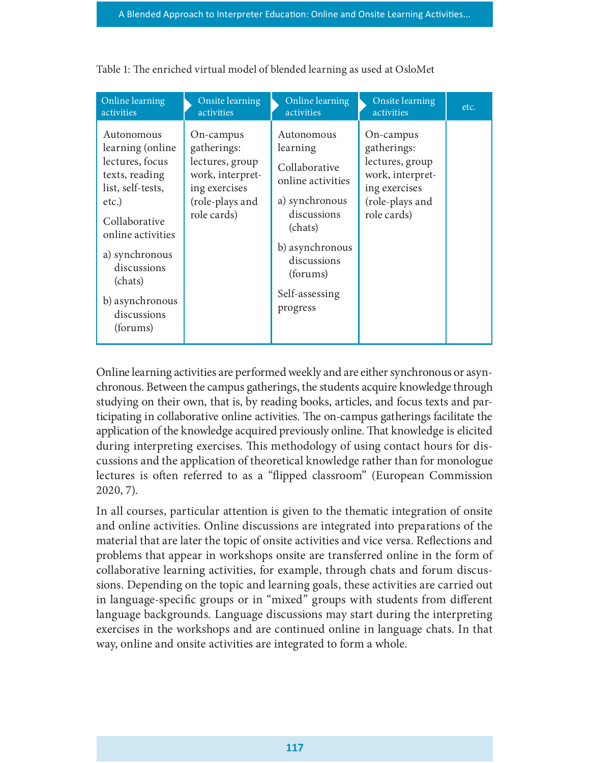| Online learning                                                                                                                                                                                                                   | Onsite learning                                                                                                    | Online learning                                                                                                                                                                      | Onsite learning                                                                                                    | etc. |
|-----------------------------------------------------------------------------------------------------------------------------------------------------------------------------------------------------------------------------------|--------------------------------------------------------------------------------------------------------------------|--------------------------------------------------------------------------------------------------------------------------------------------------------------------------------------|--------------------------------------------------------------------------------------------------------------------|------|
| activities                                                                                                                                                                                                                        | activities                                                                                                         | activities                                                                                                                                                                           | activities                                                                                                         |      |
| Autonomous<br>learning (online<br>lectures, focus<br>texts, reading<br>list, self-tests,<br>etc.)<br>Collaborative<br>online activities<br>a) synchronous<br>discussions<br>(chats)<br>b) asynchronous<br>discussions<br>(forums) | On-campus<br>gatherings:<br>lectures, group<br>work, interpret-<br>ing exercises<br>(role-plays and<br>role cards) | Autonomous<br>learning<br>Collaborative<br>online activities<br>a) synchronous<br>discussions<br>(chats)<br>b) asynchronous<br>discussions<br>(forums)<br>Self-assessing<br>progress | On-campus<br>gatherings:<br>lectures, group<br>work, interpret-<br>ing exercises<br>(role-plays and<br>role cards) |      |

Table 1: The enriched virtual model of blended learning as used at OsloMet

Online learning activities are performed weekly and are either synchronous or asynchronous. Between the campus gatherings, the students acquire knowledge through studying on their own, that is, by reading books, articles, and focus texts and participating in collaborative online activities. The on-campus gatherings facilitate the application of the knowledge acquired previously online. That knowledge is elicited during interpreting exercises. This methodology of using contact hours for discussions and the application of theoretical knowledge rather than for monologue lectures is often referred to as a "flipped classroom" (European Commission 2020, 7).

In all courses, particular attention is given to the thematic integration of onsite and online activities. Online discussions are integrated into preparations of the material that are later the topic of onsite activities and vice versa. Reflections and problems that appear in workshops onsite are transferred online in the form of collaborative learning activities, for example, through chats and forum discussions. Depending on the topic and learning goals, these activities are carried out in language-specific groups or in "mixed" groups with students from different language backgrounds. Language discussions may start during the interpreting exercises in the workshops and are continued online in language chats. In that way, online and onsite activities are integrated to form a whole.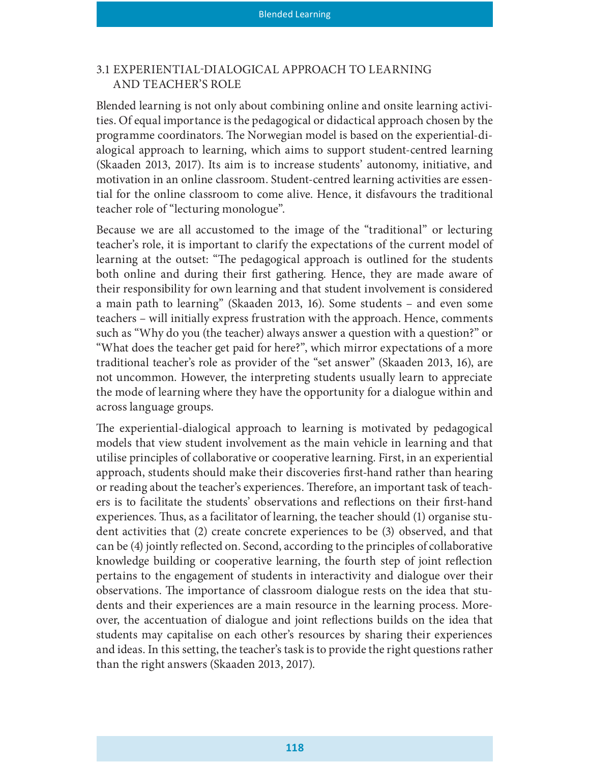#### 3.1 EXPERIENTIAL§DIALOGICAL APPROACH TO LEARNING AND TEACHER'S ROLE

Blended learning is not only about combining online and onsite learning activities. Of equal importance is the pedagogical or didactical approach chosen by the programme coordinators. The Norwegian model is based on the experiential-dialogical approach to learning, which aims to support student-centred learning (Skaaden 2013, 2017). Its aim is to increase students' autonomy, initiative, and motivation in an online classroom. Student-centred learning activities are essential for the online classroom to come alive. Hence, it disfavours the traditional teacher role of "lecturing monologue".

Because we are all accustomed to the image of the "traditional" or lecturing teacher's role, it is important to clarify the expectations of the current model of learning at the outset: "The pedagogical approach is outlined for the students both online and during their first gathering. Hence, they are made aware of their responsibility for own learning and that student involvement is considered a main path to learning" (Skaaden 2013, 16). Some students – and even some teachers – will initially express frustration with the approach. Hence, comments such as "Why do you (the teacher) always answer a question with a question?" or "What does the teacher get paid for here?", which mirror expectations of a more traditional teacher's role as provider of the "set answer" (Skaaden 2013, 16), are not uncommon. However, the interpreting students usually learn to appreciate the mode of learning where they have the opportunity for a dialogue within and across language groups.

The experiential-dialogical approach to learning is motivated by pedagogical models that view student involvement as the main vehicle in learning and that utilise principles of collaborative or cooperative learning. First, in an experiential approach, students should make their discoveries first-hand rather than hearing or reading about the teacher's experiences. Therefore, an important task of teachers is to facilitate the students' observations and reflections on their first-hand experiences. Thus, as a facilitator of learning, the teacher should  $(1)$  organise student activities that (2) create concrete experiences to be (3) observed, and that can be (4) jointly reflected on. Second, according to the principles of collaborative knowledge building or cooperative learning, the fourth step of joint reflection pertains to the engagement of students in interactivity and dialogue over their observations. The importance of classroom dialogue rests on the idea that students and their experiences are a main resource in the learning process. Moreover, the accentuation of dialogue and joint reflections builds on the idea that students may capitalise on each other's resources by sharing their experiences and ideas. In this setting, the teacher's task is to provide the right questions rather than the right answers (Skaaden 2013, 2017).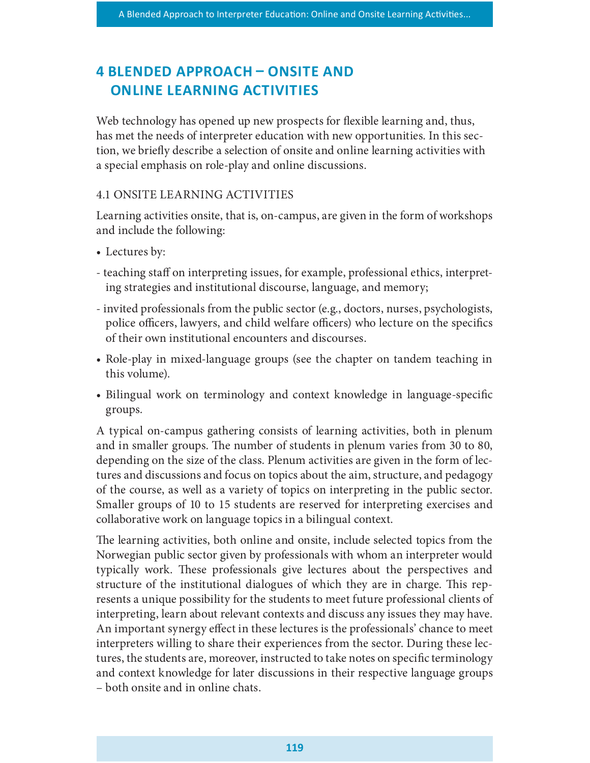# 4 BLENDED APPROACH – ONSITE AND ONLINE LEARNING ACTIVITIES

Web technology has opened up new prospects for flexible learning and, thus, has met the needs of interpreter education with new opportunities. In this section, we briefly describe a selection of onsite and online learning activities with a special emphasis on role-play and online discussions.

#### 4.1 ONSITE LEARNING ACTIVITIES

Learning activities onsite, that is, on-campus, are given in the form of workshops and include the following:

- Lectures by:
- teaching staff on interpreting issues, for example, professional ethics, interpreting strategies and institutional discourse, language, and memory;
- invited professionals from the public sector (e.g., doctors, nurses, psychologists, police officers, lawyers, and child welfare officers) who lecture on the specifics of their own institutional encounters and discourses.
- Role-play in mixed-language groups (see the chapter on tandem teaching in this volume).
- Bilingual work on terminology and context knowledge in language-specific groups.

A typical on-campus gathering consists of learning activities, both in plenum and in smaller groups. The number of students in plenum varies from 30 to 80, depending on the size of the class. Plenum activities are given in the form of lectures and discussions and focus on topics about the aim, structure, and pedagogy of the course, as well as a variety of topics on interpreting in the public sector. Smaller groups of 10 to 15 students are reserved for interpreting exercises and collaborative work on language topics in a bilingual context.

The learning activities, both online and onsite, include selected topics from the Norwegian public sector given by professionals with whom an interpreter would typically work. These professionals give lectures about the perspectives and structure of the institutional dialogues of which they are in charge. This represents a unique possibility for the students to meet future professional clients of interpreting, learn about relevant contexts and discuss any issues they may have. An important synergy effect in these lectures is the professionals' chance to meet interpreters willing to share their experiences from the sector. During these lectures, the students are, moreover, instructed to take notes on specific terminology and context knowledge for later discussions in their respective language groups – both onsite and in online chats.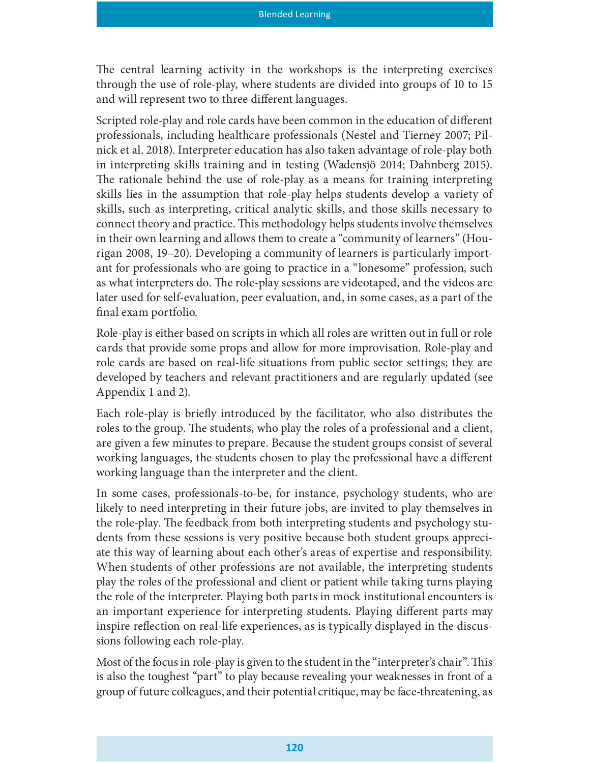The central learning activity in the workshops is the interpreting exercises through the use of role-play, where students are divided into groups of 10 to 15 and will represent two to three different languages.

Scripted role-play and role cards have been common in the education of different professionals, including healthcare professionals (Nestel and Tierney 2007; Pilnick et al. 2018). Interpreter education has also taken advantage of role-play both in interpreting skills training and in testing (Wadensjö 2014; Dahnberg 2015). The rationale behind the use of role-play as a means for training interpreting skills lies in the assumption that role-play helps students develop a variety of skills, such as interpreting, critical analytic skills, and those skills necessary to connect theory and practice. This methodology helps students involve themselves in their own learning and allows them to create a "community of learners" (Hourigan 2008, 19–20). Developing a community of learners is particularly important for professionals who are going to practice in a "lonesome" profession, such as what interpreters do. The role-play sessions are videotaped, and the videos are later used for self-evaluation, peer evaluation, and, in some cases, as a part of the final exam portfolio.

Role-play is either based on scripts in which all roles are written out in full or role cards that provide some props and allow for more improvisation. Role-play and role cards are based on real-life situations from public sector settings; they are developed by teachers and relevant practitioners and are regularly updated (see Appendix 1 and 2).

Each role-play is briefly introduced by the facilitator, who also distributes the roles to the group. The students, who play the roles of a professional and a client, are given a few minutes to prepare. Because the student groups consist of several working languages, the students chosen to play the professional have a different working language than the interpreter and the client.

In some cases, professionals-to-be, for instance, psychology students, who are likely to need interpreting in their future jobs, are invited to play themselves in the role-play. The feedback from both interpreting students and psychology students from these sessions is very positive because both student groups appreciate this way of learning about each other's areas of expertise and responsibility. When students of other professions are not available, the interpreting students play the roles of the professional and client or patient while taking turns playing the role of the interpreter. Playing both parts in mock institutional encounters is an important experience for interpreting students. Playing different parts may inspire reflection on real-life experiences, as is typically displayed in the discussions following each role-play.

Most of the focus in role-play is given to the student in the "interpreter's chair". This is also the toughest "part" to play because revealing your weaknesses in front of a group of future colleagues, and their potential critique, may be face-threatening, as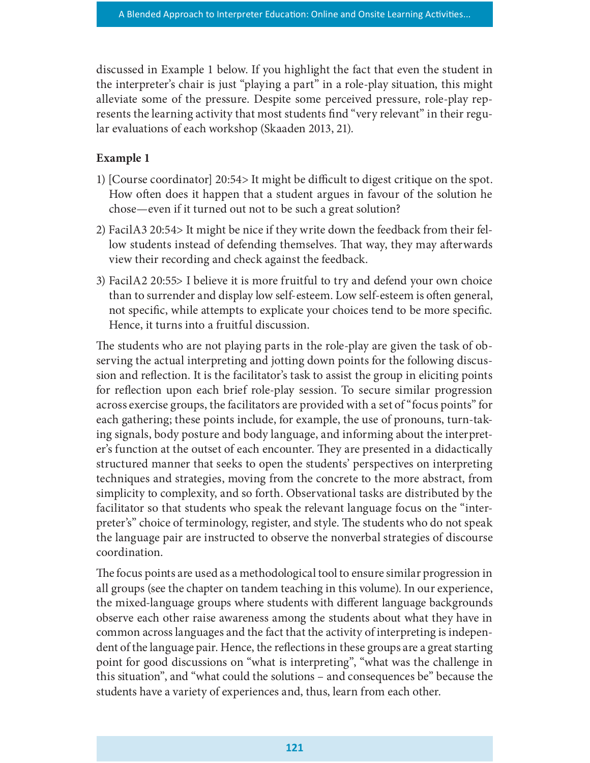discussed in Example 1 below. If you highlight the fact that even the student in the interpreter's chair is just "playing a part" in a role-play situation, this might alleviate some of the pressure. Despite some perceived pressure, role-play represents the learning activity that most students find "very relevant" in their regular evaluations of each workshop (Skaaden 2013, 21).

#### Example 1

- 1) [Course coordinator] 20:54> It might be difficult to digest critique on the spot. How often does it happen that a student argues in favour of the solution he chose—even if it turned out not to be such a great solution?
- 2) FacilA3 20:54> It might be nice if they write down the feedback from their fellow students instead of defending themselves. That way, they may afterwards view their recording and check against the feedback.
- 3) FacilA2 20:55> I believe it is more fruitful to try and defend your own choice than to surrender and display low self-esteem. Low self-esteem is often general, not specific, while attempts to explicate your choices tend to be more specific. Hence, it turns into a fruitful discussion.

The students who are not playing parts in the role-play are given the task of observing the actual interpreting and jotting down points for the following discussion and reflection. It is the facilitator's task to assist the group in eliciting points for reflection upon each brief role-play session. To secure similar progression across exercise groups, the facilitators are provided with a set of "focus points" for each gathering; these points include, for example, the use of pronouns, turn-taking signals, body posture and body language, and informing about the interpreter's function at the outset of each encounter. They are presented in a didactically structured manner that seeks to open the students' perspectives on interpreting techniques and strategies, moving from the concrete to the more abstract, from simplicity to complexity, and so forth. Observational tasks are distributed by the facilitator so that students who speak the relevant language focus on the "interpreter's" choice of terminology, register, and style. The students who do not speak the language pair are instructed to observe the nonverbal strategies of discourse coordination.

The focus points are used as a methodological tool to ensure similar progression in all groups (see the chapter on tandem teaching in this volume). In our experience, the mixed-language groups where students with different language backgrounds observe each other raise awareness among the students about what they have in common across languages and the fact that the activity of interpreting is independent of the language pair. Hence, the reflections in these groups are a great starting point for good discussions on "what is interpreting", "what was the challenge in this situation", and "what could the solutions – and consequences be" because the students have a variety of experiences and, thus, learn from each other.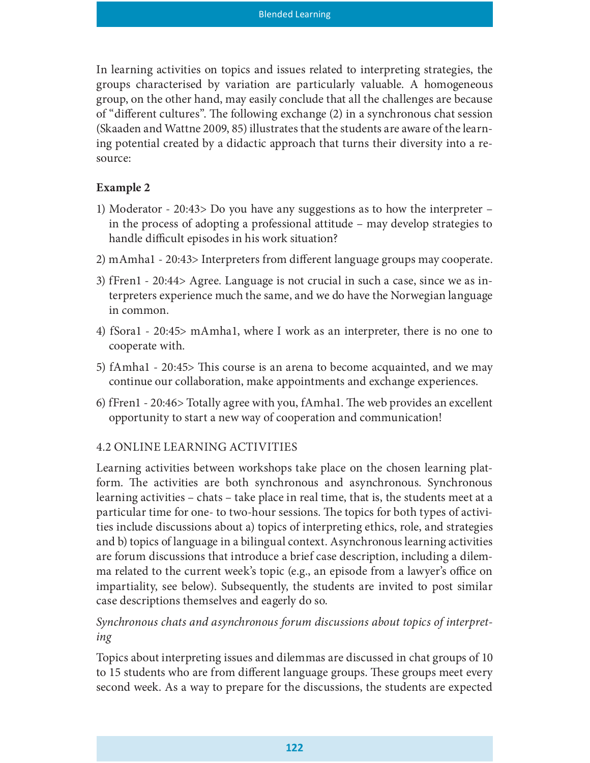In learning activities on topics and issues related to interpreting strategies, the groups characterised by variation are particularly valuable. A homogeneous group, on the other hand, may easily conclude that all the challenges are because of "different cultures". The following exchange (2) in a synchronous chat session (Skaaden and Wattne 2009, 85) illustrates that the students are aware of the learning potential created by a didactic approach that turns their diversity into a resource:

#### Example 2

- 1) Moderator 20:43> Do you have any suggestions as to how the interpreter in the process of adopting a professional attitude – may develop strategies to handle difficult episodes in his work situation?
- 2) mAmha1 20:43> Interpreters from different language groups may cooperate.
- 3) fFren1 20:44> Agree. Language is not crucial in such a case, since we as interpreters experience much the same, and we do have the Norwegian language in common.
- 4) fSora1 20:45> mAmha1, where I work as an interpreter, there is no one to cooperate with.
- 5) fAmha1 20:45> This course is an arena to become acquainted, and we may continue our collaboration, make appointments and exchange experiences.
- 6) fFren1 20:46> Totally agree with you, fAmha1. The web provides an excellent opportunity to start a new way of cooperation and communication!

#### 4.2 ONLINE LEARNING ACTIVITIES

Learning activities between workshops take place on the chosen learning platform. The activities are both synchronous and asynchronous. Synchronous learning activities – chats – take place in real time, that is, the students meet at a particular time for one- to two-hour sessions. The topics for both types of activities include discussions about a) topics of interpreting ethics, role, and strategies and b) topics of language in a bilingual context. Asynchronous learning activities are forum discussions that introduce a brief case description, including a dilemma related to the current week's topic (e.g., an episode from a lawyer's office on impartiality, see below). Subsequently, the students are invited to post similar case descriptions themselves and eagerly do so.

#### Synchronous chats and asynchronous forum discussions about topics of interpreting

Topics about interpreting issues and dilemmas are discussed in chat groups of 10 to 15 students who are from different language groups. These groups meet every second week. As a way to prepare for the discussions, the students are expected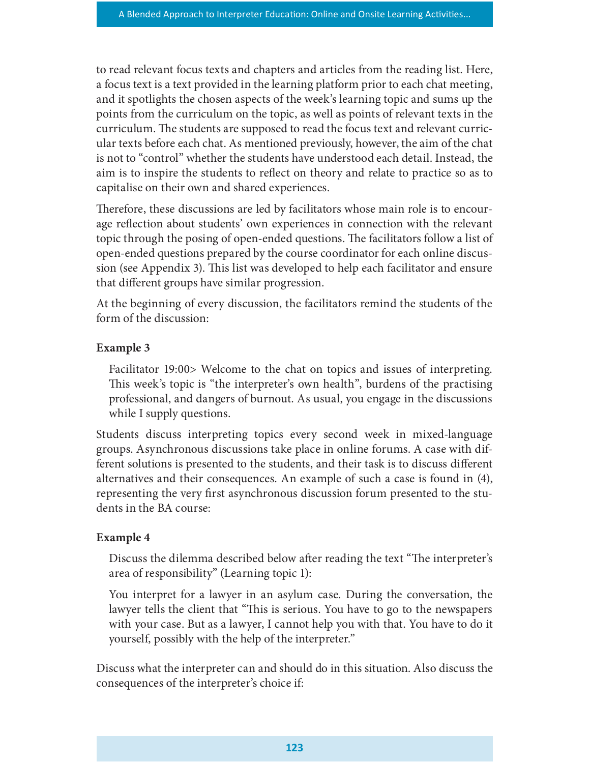to read relevant focus texts and chapters and articles from the reading list. Here, a focus text is a text provided in the learning platform prior to each chat meeting, and it spotlights the chosen aspects of the week's learning topic and sums up the points from the curriculum on the topic, as well as points of relevant texts in the curriculum. The students are supposed to read the focus text and relevant curricular texts before each chat. As mentioned previously, however, the aim of the chat is not to "control" whether the students have understood each detail. Instead, the aim is to inspire the students to reflect on theory and relate to practice so as to capitalise on their own and shared experiences.

Therefore, these discussions are led by facilitators whose main role is to encourage reflection about students' own experiences in connection with the relevant topic through the posing of open-ended questions. The facilitators follow a list of open-ended questions prepared by the course coordinator for each online discussion (see Appendix 3). This list was developed to help each facilitator and ensure that different groups have similar progression.

At the beginning of every discussion, the facilitators remind the students of the form of the discussion:

#### Example 3

Facilitator 19:00> Welcome to the chat on topics and issues of interpreting. This week's topic is "the interpreter's own health", burdens of the practising professional, and dangers of burnout. As usual, you engage in the discussions while I supply questions.

Students discuss interpreting topics every second week in mixed-language groups. Asynchronous discussions take place in online forums. A case with different solutions is presented to the students, and their task is to discuss different alternatives and their consequences. An example of such a case is found in (4), representing the very first asynchronous discussion forum presented to the students in the BA course:

#### Example 4

Discuss the dilemma described below after reading the text "The interpreter's area of responsibility" (Learning topic 1):

You interpret for a lawyer in an asylum case. During the conversation, the lawyer tells the client that "This is serious. You have to go to the newspapers with your case. But as a lawyer, I cannot help you with that. You have to do it yourself, possibly with the help of the interpreter."

Discuss what the interpreter can and should do in this situation. Also discuss the consequences of the interpreter's choice if: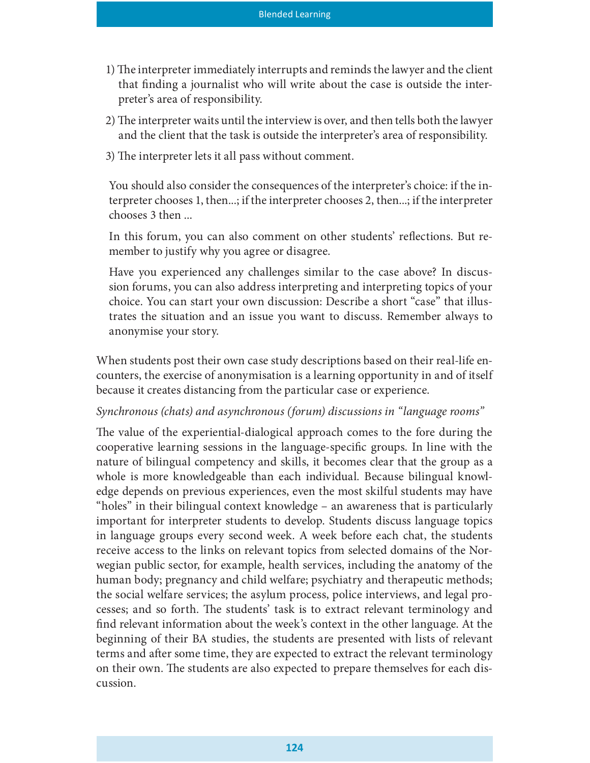- 1) The interpreter immediately interrupts and reminds the lawyer and the client that finding a journalist who will write about the case is outside the interpreter's area of responsibility.
- 2) The interpreter waits until the interview is over, and then tells both the lawyer and the client that the task is outside the interpreter's area of responsibility.
- 3) The interpreter lets it all pass without comment.

You should also consider the consequences of the interpreter's choice: if the interpreter chooses 1, then...; if the interpreter chooses 2, then...; if the interpreter chooses 3 then ...

In this forum, you can also comment on other students' reflections. But remember to justify why you agree or disagree.

Have you experienced any challenges similar to the case above? In discussion forums, you can also address interpreting and interpreting topics of your choice. You can start your own discussion: Describe a short "case" that illustrates the situation and an issue you want to discuss. Remember always to anonymise your story.

When students post their own case study descriptions based on their real-life encounters, the exercise of anonymisation is a learning opportunity in and of itself because it creates distancing from the particular case or experience.

#### Synchronous (chats) and asynchronous (forum) discussions in "language rooms"

The value of the experiential-dialogical approach comes to the fore during the cooperative learning sessions in the language-specific groups. In line with the nature of bilingual competency and skills, it becomes clear that the group as a whole is more knowledgeable than each individual. Because bilingual knowledge depends on previous experiences, even the most skilful students may have "holes" in their bilingual context knowledge – an awareness that is particularly important for interpreter students to develop. Students discuss language topics in language groups every second week. A week before each chat, the students receive access to the links on relevant topics from selected domains of the Norwegian public sector, for example, health services, including the anatomy of the human body; pregnancy and child welfare; psychiatry and therapeutic methods; the social welfare services; the asylum process, police interviews, and legal processes; and so forth. The students' task is to extract relevant terminology and find relevant information about the week's context in the other language. At the beginning of their BA studies, the students are presented with lists of relevant terms and after some time, they are expected to extract the relevant terminology on their own. The students are also expected to prepare themselves for each discussion.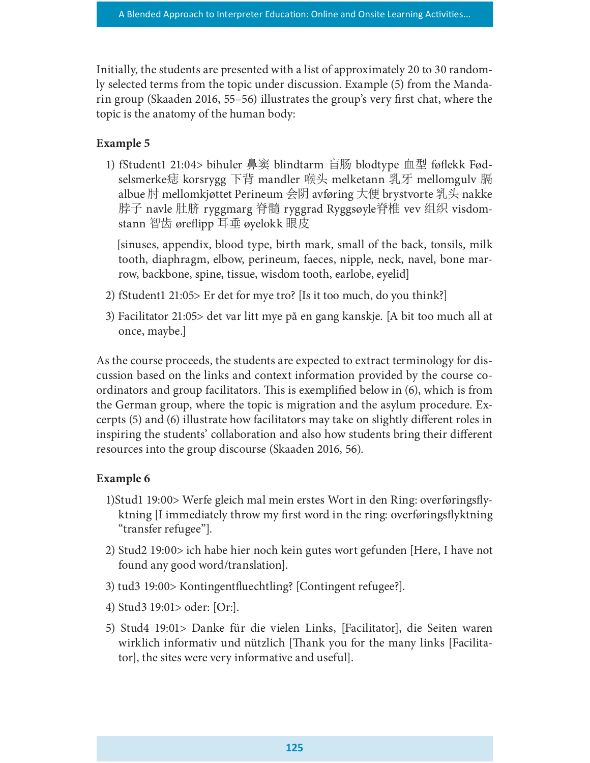Initially, the students are presented with a list of approximately 20 to 30 randomly selected terms from the topic under discussion. Example (5) from the Mandarin group (Skaaden 2016,  $55-56$ ) illustrates the group's very first chat, where the topic is the anatomy of the human body:

#### Example 5

1) fStudent1 21:04> bihuler 鼻窦 blindtarm 盲肠 blodtype 血型 føflekk Fødselsmerke痣 korsrygg 下背 mandler 喉头 melketann 乳牙 mellomgulv 膈 albue 肘 mellomkjøttet Perineum 会阴 avføring 大便 brystvorte 乳头 nakke 脖子 navle 肚脐 ryggmarg 脊髓 ryggrad Ryggsøyle脊椎 vev 组织 visdomstann 智齿 øreflipp 耳垂 øyelokk 眼皮

 [sinuses, appendix, blood type, birth mark, small of the back, tonsils, milk tooth, diaphragm, elbow, perineum, faeces, nipple, neck, navel, bone marrow, backbone, spine, tissue, wisdom tooth, earlobe, eyelid]

- 2) fStudent1 21:05> Er det for mye tro? [Is it too much, do you think?]
- 3) Facilitator 21:05> det var litt mye på en gang kanskje. [A bit too much all at once, maybe.]

As the course proceeds, the students are expected to extract terminology for discussion based on the links and context information provided by the course coordinators and group facilitators. This is exemplified below in  $(6)$ , which is from the German group, where the topic is migration and the asylum procedure. Excerpts  $(5)$  and  $(6)$  illustrate how facilitators may take on slightly different roles in inspiring the students' collaboration and also how students bring their different resources into the group discourse (Skaaden 2016, 56).

#### Example 6

- 1)Stud1 19:00> Werfe gleich mal mein erstes Wort in den Ring: overføringsflyktning II immediately throw my first word in the ring: overføringsflyktning "transfer refugee"].
- 2) Stud2 19:00> ich habe hier noch kein gutes wort gefunden [Here, I have not found any good word/translation].
- 3) tud3 19:00> Kontingentfluechtling? [Contingent refugee?].
- 4) Stud3 19:01> oder: [Or:].
- 5) Stud4 19:01> Danke für die vielen Links, [Facilitator], die Seiten waren wirklich informativ und nützlich [Thank you for the many links [Facilitator], the sites were very informative and useful].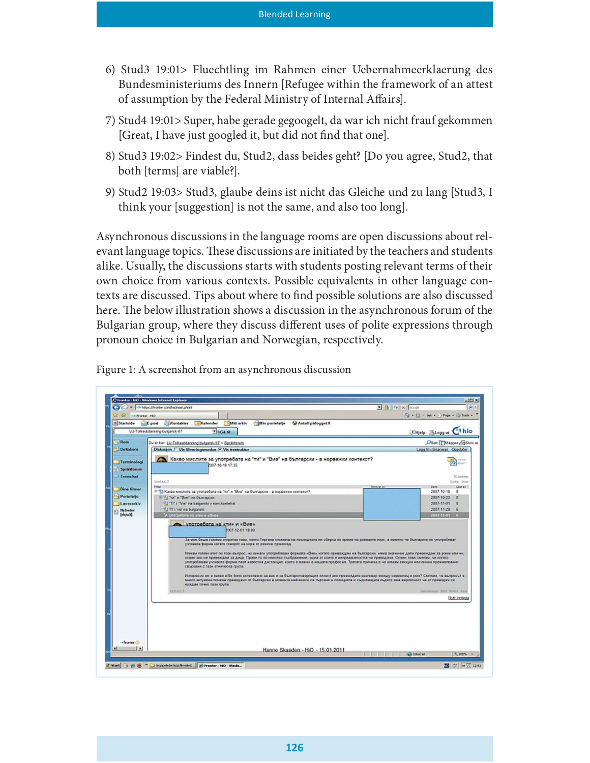- 6) Stud3 19:01> Fluechtling im Rahmen einer Uebernahmeerklaerung des Bundesministeriums des Innern [Refugee within the framework of an attest of assumption by the Federal Ministry of Internal Affairs.
- 7) Stud4 19:01> Super, habe gerade gegoogelt, da war ich nicht frauf gekommen [Great, I have just googled it, but did not find that one].
- 8) Stud3 19:02> Findest du, Stud2, dass beides geht? [Do you agree, Stud2, that both [terms] are viable?].
- 9) Stud2 19:03> Stud3, glaube deins ist nicht das Gleiche und zu lang [Stud3, I think your [suggestion] is not the same, and also too long].

Asynchronous discussions in the language rooms are open discussions about relevant language topics. These discussions are initiated by the teachers and students alike. Usually, the discussions starts with students posting relevant terms of their own choice from various contexts. Possible equivalents in other language contexts are discussed. Tips about where to find possible solutions are also discussed here. The below illustration shows a discussion in the asynchronous forum of the Bulgarian group, where they discuss different uses of polite expressions through pronoun choice in Bulgarian and Norwegian, respectively.



Figure 1: A screenshot from an asynchronous discussion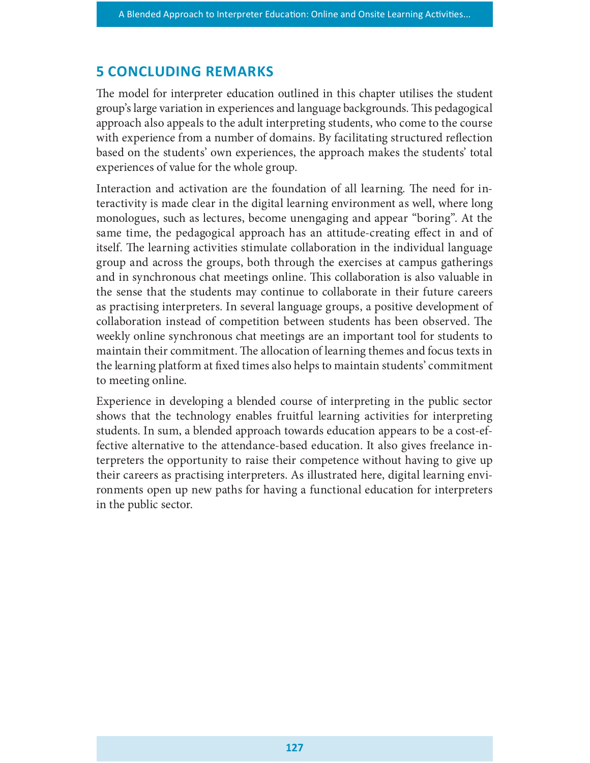### **5 CONCLUDING REMARKS**

The model for interpreter education outlined in this chapter utilises the student group's large variation in experiences and language backgrounds. This pedagogical approach also appeals to the adult interpreting students, who come to the course with experience from a number of domains. By facilitating structured reflection based on the students' own experiences, the approach makes the students' total experiences of value for the whole group.

Interaction and activation are the foundation of all learning. The need for interactivity is made clear in the digital learning environment as well, where long monologues, such as lectures, become unengaging and appear "boring". At the same time, the pedagogical approach has an attitude-creating effect in and of itself. The learning activities stimulate collaboration in the individual language group and across the groups, both through the exercises at campus gatherings and in synchronous chat meetings online. This collaboration is also valuable in the sense that the students may continue to collaborate in their future careers as practising interpreters. In several language groups, a positive development of collaboration instead of competition between students has been observed. The weekly online synchronous chat meetings are an important tool for students to maintain their commitment. The allocation of learning themes and focus texts in the learning platform at fixed times also helps to maintain students' commitment to meeting online.

Experience in developing a blended course of interpreting in the public sector shows that the technology enables fruitful learning activities for interpreting students. In sum, a blended approach towards education appears to be a cost-effective alternative to the attendance-based education. It also gives freelance interpreters the opportunity to raise their competence without having to give up their careers as practising interpreters. As illustrated here, digital learning environments open up new paths for having a functional education for interpreters in the public sector.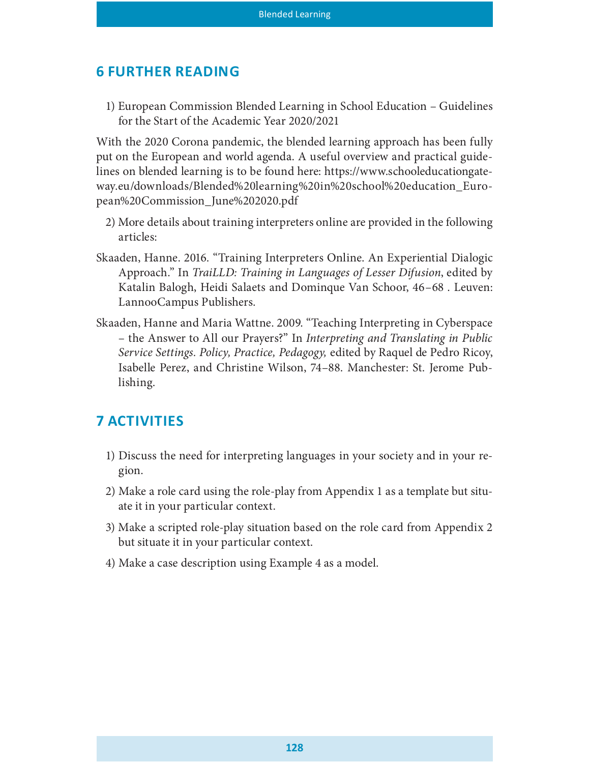# **6 FURTHER READING**

1) European Commission Blended Learning in School Education – Guidelines for the Start of the Academic Year 2020/2021

With the 2020 Corona pandemic, the blended learning approach has been fully put on the European and world agenda. A useful overview and practical guidelines on blended learning is to be found here: https://www.schooleducationgateway.eu/downloads/Blended%20learning%20in%20school%20education\_European%20Commission\_June%202020.pdf

- 2) More details about training interpreters online are provided in the following articles:
- Skaaden, Hanne. 2016. "Training Interpreters Online. An Experiential Dialogic Approach." In TraiLLD: Training in Languages of Lesser Difusion, edited by Katalin Balogh, Heidi Salaets and Dominque Van Schoor, 46–68 . Leuven: LannooCampus Publishers.
- Skaaden, Hanne and Maria Wattne. 2009. "Teaching Interpreting in Cyberspace – the Answer to All our Prayers?" In Interpreting and Translating in Public Service Settings. Policy, Practice, Pedagogy, edited by Raquel de Pedro Ricoy, Isabelle Perez, and Christine Wilson, 74–88. Manchester: St. Jerome Publishing.

# **7 ACTIVITIES**

- 1) Discuss the need for interpreting languages in your society and in your region.
- 2) Make a role card using the role-play from Appendix 1 as a template but situate it in your particular context.
- 3) Make a scripted role-play situation based on the role card from Appendix 2 but situate it in your particular context.
- 4) Make a case description using Example 4 as a model.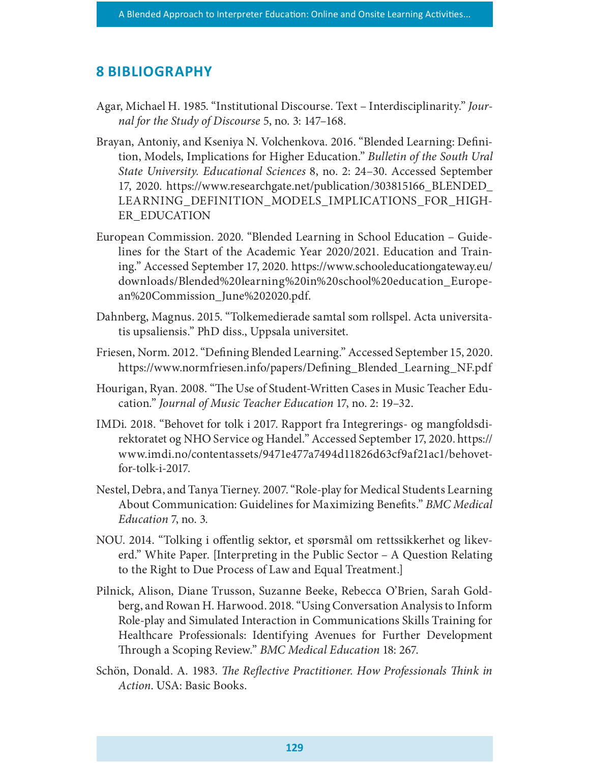#### **8 BIBLIOGRAPHY**

- Agar, Michael H. 1985. "Institutional Discourse. Text Interdisciplinarity." Journal for the Study of Discourse 5, no. 3: 147–168.
- Brayan, Antoniy, and Kseniya N. Volchenkova. 2016. "Blended Learning: Definition, Models, Implications for Higher Education." Bulletin of the South Ural State University. Educational Sciences 8, no. 2: 24–30. Accessed September 17, 2020. https://www.researchgate.net/publication/303815166\_BLENDED\_ LEARNING\_DEFINITION\_MODELS\_IMPLICATIONS\_FOR\_HIGH-ER\_EDUCATION
- European Commission. 2020. "Blended Learning in School Education Guidelines for the Start of the Academic Year 2020/2021. Education and Training." Accessed September 17, 2020. https://www.schooleducationgateway.eu/ downloads/Blended%20learning%20in%20school%20education\_European%20Commission\_June%202020.pdf.
- Dahnberg, Magnus. 2015. "Tolkemedierade samtal som rollspel. Acta universitatis upsaliensis." PhD diss., Uppsala universitet.
- Friesen, Norm. 2012. "Defining Blended Learning." Accessed September 15, 2020. https://www.normfriesen.info/papers/Defining\_Blended\_Learning\_NF.pdf
- Hourigan, Ryan. 2008. "The Use of Student-Written Cases in Music Teacher Education." Journal of Music Teacher Education 17, no. 2: 19–32.
- IMDi. 2018. "Behovet for tolk i 2017. Rapport fra Integrerings- og mangfoldsdirektoratet og NHO Service og Handel." Accessed September 17, 2020. https:// www.imdi.no/contentassets/9471e477a7494d11826d63cf9af21ac1/behovetfor-tolk-i-2017.
- Nestel, Debra, and Tanya Tierney. 2007. "Role-play for Medical Students Learning About Communication: Guidelines for Maximizing Benets." BMC Medical Education 7, no. 3.
- NOU. 2014. "Tolking i offentlig sektor, et spørsmål om rettssikkerhet og likeverd." White Paper. [Interpreting in the Public Sector – A Question Relating to the Right to Due Process of Law and Equal Treatment.]
- Pilnick, Alison, Diane Trusson, Suzanne Beeke, Rebecca O'Brien, Sarah Goldberg, and Rowan H. Harwood. 2018. "Using Conversation Analysis to Inform Role-play and Simulated Interaction in Communications Skills Training for Healthcare Professionals: Identifying Avenues for Further Development Through a Scoping Review." BMC Medical Education 18: 267.
- Schön, Donald. A. 1983. The Reflective Practitioner. How Professionals Think in Action. USA: Basic Books.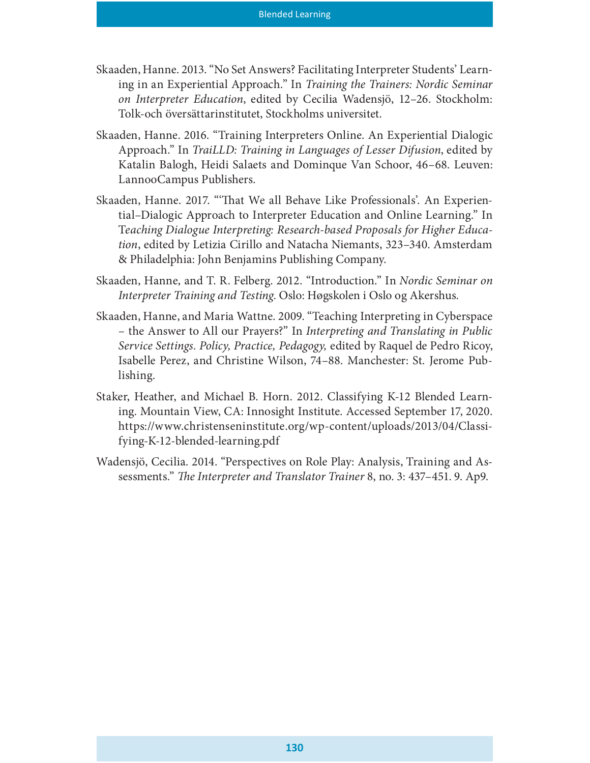- Skaaden, Hanne. 2013. "No Set Answers? Facilitating Interpreter Students' Learning in an Experiential Approach." In Training the Trainers: Nordic Seminar on Interpreter Education, edited by Cecilia Wadensjö, 12–26. Stockholm: Tolk-och översättarinstitutet, Stockholms universitet.
- Skaaden, Hanne. 2016. "Training Interpreters Online. An Experiential Dialogic Approach." In TraiLLD: Training in Languages of Lesser Difusion, edited by Katalin Balogh, Heidi Salaets and Dominque Van Schoor, 46–68. Leuven: LannooCampus Publishers.
- Skaaden, Hanne. 2017. "That We all Behave Like Professionals'. An Experiential–Dialogic Approach to Interpreter Education and Online Learning." In Teaching Dialogue Interpreting: Research-based Proposals for Higher Education, edited by Letizia Cirillo and Natacha Niemants, 323–340. Amsterdam & Philadelphia: John Benjamins Publishing Company.
- Skaaden, Hanne, and T. R. Felberg. 2012. "Introduction." In Nordic Seminar on Interpreter Training and Testing. Oslo: Høgskolen i Oslo og Akershus.
- Skaaden, Hanne, and Maria Wattne. 2009. "Teaching Interpreting in Cyberspace – the Answer to All our Prayers?" In Interpreting and Translating in Public Service Settings. Policy, Practice, Pedagogy, edited by Raquel de Pedro Ricoy, Isabelle Perez, and Christine Wilson, 74–88. Manchester: St. Jerome Publishing.
- Staker, Heather, and Michael B. Horn. 2012. Classifying K-12 Blended Learning. Mountain View, CA: Innosight Institute. Accessed September 17, 2020. https://www.christenseninstitute.org/wp-content/uploads/2013/04/Classifying-K-12-blended-learning.pdf
- Wadensjö, Cecilia. 2014. "Perspectives on Role Play: Analysis, Training and Assessments." The Interpreter and Translator Trainer 8, no. 3: 437–451. 9. Ap9.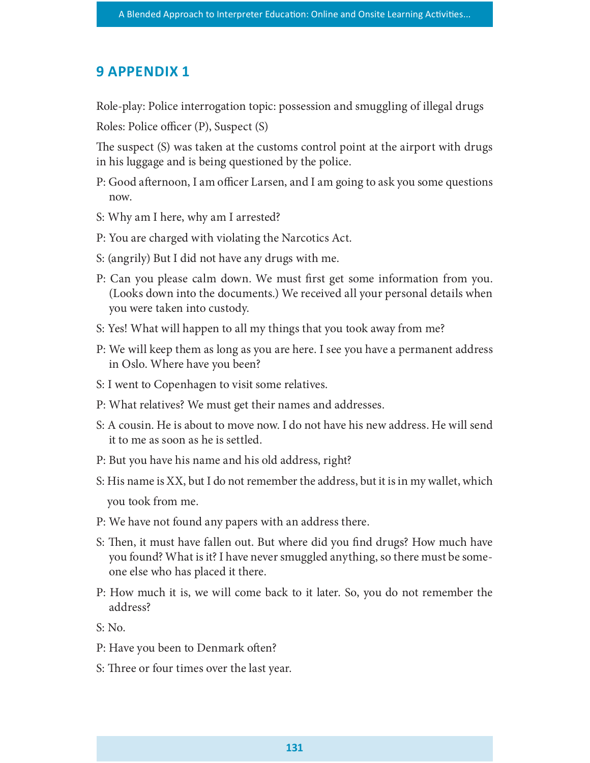## **9 APPENDIX 1**

Role-play: Police interrogation topic: possession and smuggling of illegal drugs

Roles: Police officer (P), Suspect (S)

The suspect (S) was taken at the customs control point at the airport with drugs in his luggage and is being questioned by the police.

- P: Good afternoon, I am officer Larsen, and I am going to ask you some questions now.
- S: Why am I here, why am I arrested?
- P: You are charged with violating the Narcotics Act.
- S: (angrily) But I did not have any drugs with me.
- P: Can you please calm down. We must first get some information from you. (Looks down into the documents.) We received all your personal details when you were taken into custody.
- S: Yes! What will happen to all my things that you took away from me?
- P: We will keep them as long as you are here. I see you have a permanent address in Oslo. Where have you been?
- S: I went to Copenhagen to visit some relatives.
- P: What relatives? We must get their names and addresses.
- S: A cousin. He is about to move now. I do not have his new address. He will send it to me as soon as he is settled.
- P: But you have his name and his old address, right?
- S: His name is XX, but I do not remember the address, but it is in my wallet, which you took from me.
- P: We have not found any papers with an address there.
- S: Then, it must have fallen out. But where did you find drugs? How much have you found? What is it? I have never smuggled anything, so there must be someone else who has placed it there.
- P: How much it is, we will come back to it later. So, you do not remember the address?

S: No.

- P: Have you been to Denmark often?
- S: Three or four times over the last year.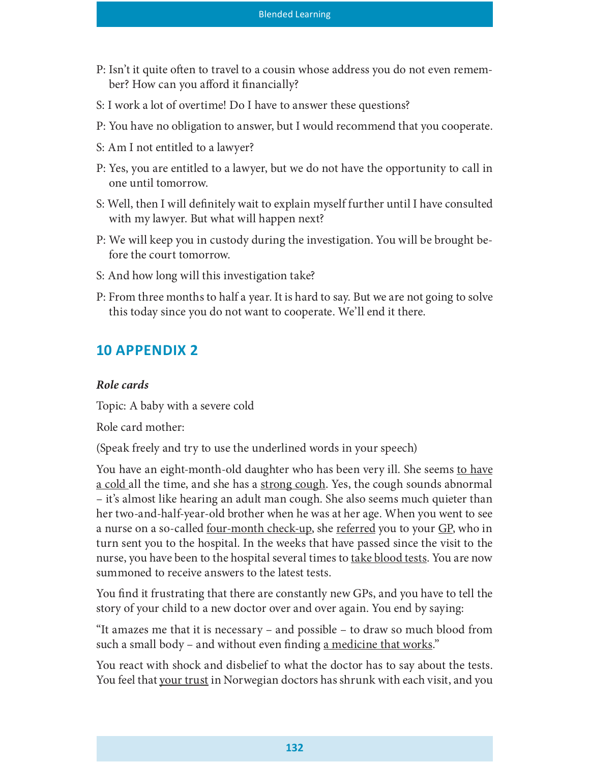- P: Isn't it quite often to travel to a cousin whose address you do not even remember? How can you afford it financially?
- S: I work a lot of overtime! Do I have to answer these questions?
- P: You have no obligation to answer, but I would recommend that you cooperate.
- S: Am I not entitled to a lawyer?
- P: Yes, you are entitled to a lawyer, but we do not have the opportunity to call in one until tomorrow.
- S: Well, then I will definitely wait to explain myself further until I have consulted with my lawyer. But what will happen next?
- P: We will keep you in custody during the investigation. You will be brought before the court tomorrow.
- S: And how long will this investigation take?
- P: From three months to half a year. It is hard to say. But we are not going to solve this today since you do not want to cooperate. We'll end it there.

## **10 APPENDIX 2**

#### Role cards

Topic: A baby with a severe cold

Role card mother:

(Speak freely and try to use the underlined words in your speech)

You have an eight-month-old daughter who has been very ill. She seems to have a cold all the time, and she has a strong cough. Yes, the cough sounds abnormal – it's almost like hearing an adult man cough. She also seems much quieter than her two-and-half-year-old brother when he was at her age. When you went to see a nurse on a so-called <u>four-month check-up</u>, she referred you to your GP, who in turn sent you to the hospital. In the weeks that have passed since the visit to the nurse, you have been to the hospital several times to take blood tests. You are now summoned to receive answers to the latest tests.

You find it frustrating that there are constantly new GPs, and you have to tell the story of your child to a new doctor over and over again. You end by saying:

"It amazes me that it is necessary – and possible – to draw so much blood from such a small body – and without even finding a medicine that works."

You react with shock and disbelief to what the doctor has to say about the tests. You feel that your trust in Norwegian doctors has shrunk with each visit, and you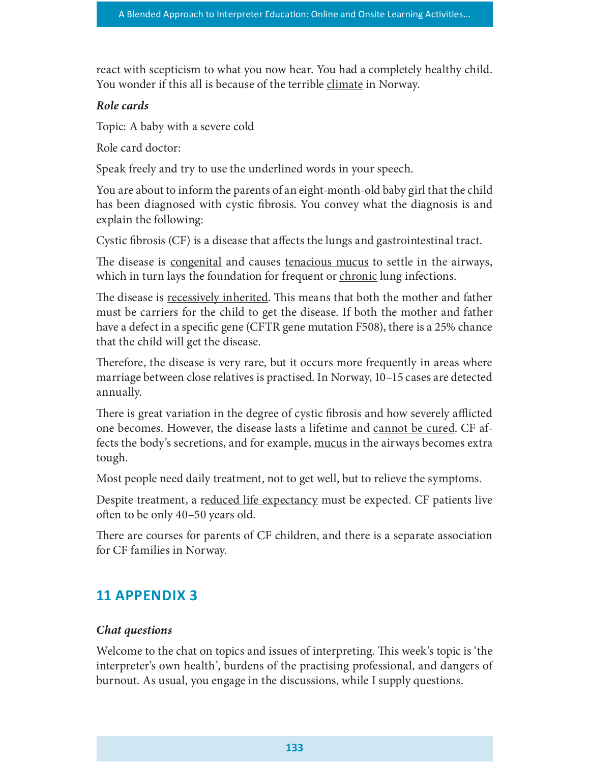react with scepticism to what you now hear. You had a completely healthy child. You wonder if this all is because of the terrible climate in Norway.

#### Role cards

Topic: A baby with a severe cold

Role card doctor:

Speak freely and try to use the underlined words in your speech.

You are about to inform the parents of an eight-month-old baby girl that the child has been diagnosed with cystic fibrosis. You convey what the diagnosis is and explain the following:

Cystic fibrosis (CF) is a disease that affects the lungs and gastrointestinal tract.

The disease is <u>congenital</u> and causes <u>tenacious mucus</u> to settle in the airways, which in turn lays the foundation for frequent or chronic lung infections.

The disease is recessively inherited. This means that both the mother and father must be carriers for the child to get the disease. If both the mother and father have a defect in a specific gene (CFTR gene mutation F508), there is a 25% chance that the child will get the disease.

Therefore, the disease is very rare, but it occurs more frequently in areas where marriage between close relatives is practised. In Norway, 10–15 cases are detected annually.

There is great variation in the degree of cystic fibrosis and how severely afflicted one becomes. However, the disease lasts a lifetime and cannot be cured. CF affects the body's secretions, and for example, <u>mucus</u> in the airways becomes extra tough.

Most people need <u>daily treatment</u>, not to get well, but to <u>relieve the symptoms</u>.

Despite treatment, a reduced life expectancy must be expected. CF patients live often to be only 40–50 years old.

There are courses for parents of CF children, and there is a separate association for CF families in Norway.

# 11 APPENDIX 3

#### Chat questions

Welcome to the chat on topics and issues of interpreting. This week's topic is 'the interpreter's own health', burdens of the practising professional, and dangers of burnout. As usual, you engage in the discussions, while I supply questions.